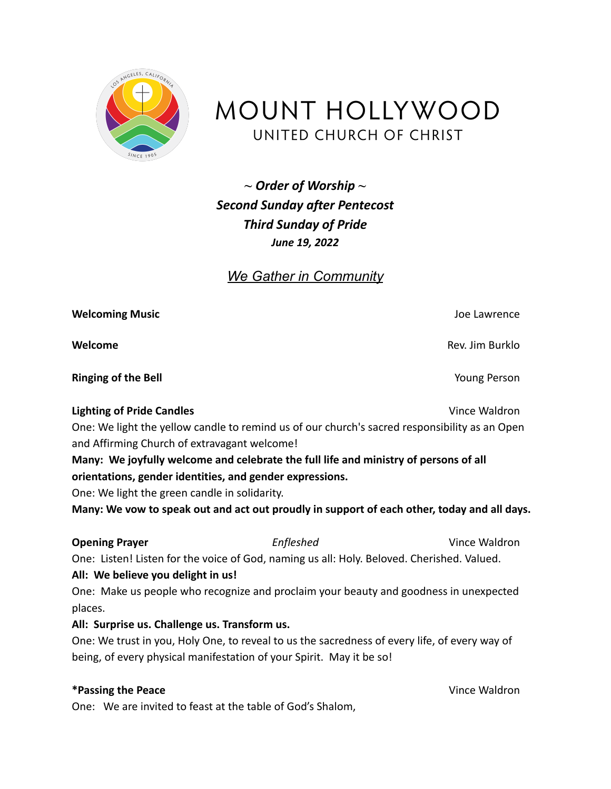

MOUNT HOLLYWOOD UNITED CHURCH OF CHRIST

*~ Order of Worship ~ Second Sunday after Pentecost Third Sunday of Pride June 19, 2022*

# *We Gather in Community*

| <b>Welcoming Music</b>                                   |                                                                                               | Joe Lawrence    |
|----------------------------------------------------------|-----------------------------------------------------------------------------------------------|-----------------|
| Welcome                                                  |                                                                                               | Rev. Jim Burklo |
| <b>Ringing of the Bell</b>                               |                                                                                               | Young Person    |
| <b>Lighting of Pride Candles</b>                         |                                                                                               | Vince Waldron   |
| and Affirming Church of extravagant welcome!             | One: We light the yellow candle to remind us of our church's sacred responsibility as an Open |                 |
|                                                          | Many: We joyfully welcome and celebrate the full life and ministry of persons of all          |                 |
| orientations, gender identities, and gender expressions. |                                                                                               |                 |
| One: We light the green candle in solidarity.            |                                                                                               |                 |
|                                                          | Many: We vow to speak out and act out proudly in support of each other, today and all days.   |                 |
| <b>Opening Prayer</b>                                    | Enfleshed                                                                                     | Vince Waldron   |
| All: We believe you delight in us!                       | One: Listen! Listen for the voice of God, naming us all: Holy. Beloved. Cherished. Valued.    |                 |
| places.                                                  | One: Make us people who recognize and proclaim your beauty and goodness in unexpected         |                 |
| All: Surprise us. Challenge us. Transform us.            |                                                                                               |                 |
|                                                          | One: We trust in you, Holy One, to reveal to us the sacredness of every life, of every way of |                 |
|                                                          | being, of every physical manifestation of your Spirit. May it be so!                          |                 |
| *Passing the Peace                                       |                                                                                               | Vince Waldron   |
|                                                          | One: We are invited to feast at the table of God's Shalom,                                    |                 |
|                                                          |                                                                                               |                 |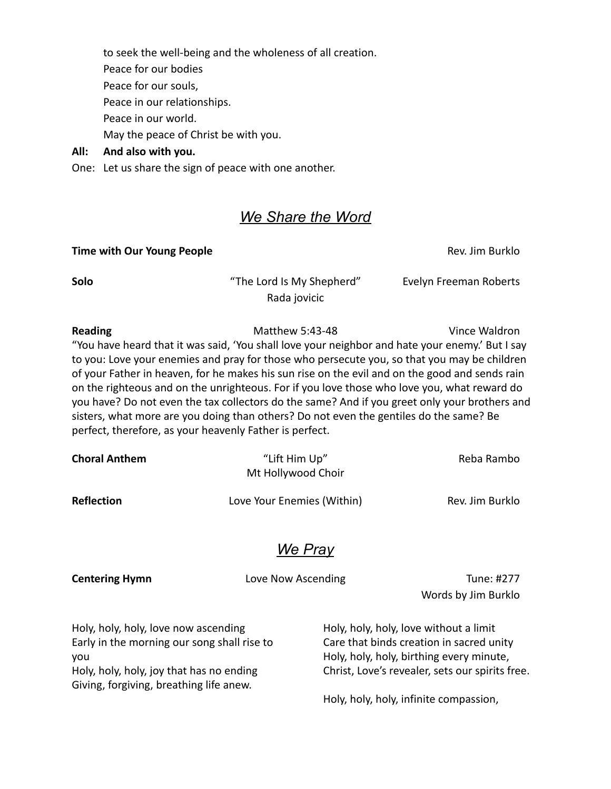to seek the well-being and the wholeness of all creation. Peace for our bodies Peace for our souls, Peace in our relationships. Peace in our world. May the peace of Christ be with you.

### **All: And also with you.**

One: Let us share the sign of peace with one another.

## *We Share the Word*

### **Time with Our Young People Rev. Assume With Our Young People** Rev. Jim Burklo

**Solo** "The Lord Is My Shepherd" Evelyn Freeman Roberts Rada jovicic

**Reading The Contract Contract Matthew 5:43-48** Vince Waldron "You have heard that it was said, 'You shall love your neighbor and hate your enemy.' But I say to you: Love your enemies and pray for those who persecute you, so that you may be children of your Father in heaven, for he makes his sun rise on the evil and on the good and sends rain on the righteous and on the unrighteous. For if you love those who love you, what reward do you have? Do not even the tax collectors do the same? And if you greet only your brothers and sisters, what more are you doing than others? Do not even the gentiles do the same? Be perfect, therefore, as your heavenly Father is perfect.

| <b>Choral Anthem</b> | "Lift Him Up"<br>Mt Hollywood Choir | Reba Rambo      |
|----------------------|-------------------------------------|-----------------|
| <b>Reflection</b>    | Love Your Enemies (Within)          | Rev. Jim Burklo |
|                      | We Pray                             |                 |

**Centering Hymn Centering Hymn Love Now Ascending <b>Tune: #277** 

Words by Jim Burklo

Holy, holy, holy, love now ascending Early in the morning our song shall rise to you Holy, holy, holy, joy that has no ending Giving, forgiving, breathing life anew.

Holy, holy, holy, love without a limit Care that binds creation in sacred unity Holy, holy, holy, birthing every minute, Christ, Love's revealer, sets our spirits free.

Holy, holy, holy, infinite compassion,